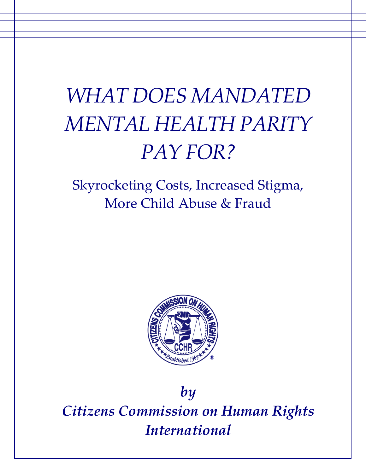# *WHAT DOES MANDATED MENTAL HEALTH PARITY PAY FOR?*

## Skyrocketing Costs, Increased Stigma, More Child Abuse & Fraud



## *by Citizens Commission on Human Rights International*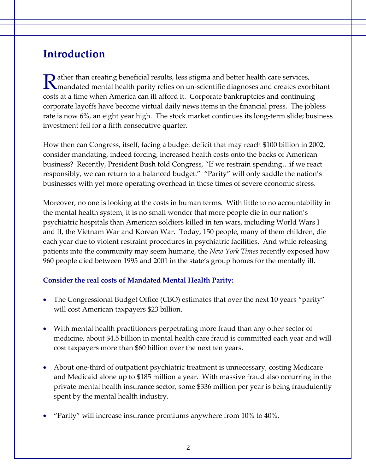## **Introduction**

ather than creating beneficial results, less stigma and better health care services, Rather than creating beneficial results, less stigma and better health care services,<br>
In andated mental health parity relies on un-scientific diagnoses and creates exorbitant costs at a time when America can ill afford it. Corporate bankruptcies and continuing corporate layoffs have become virtual daily news items in the financial press. The jobless rate is now 6%, an eight year high. The stock market continues its long-term slide; business investment fell for a fifth consecutive quarter.

How then can Congress, itself, facing a budget deficit that may reach \$100 billion in 2002, consider mandating, indeed forcing, increased health costs onto the backs of American business? Recently, President Bush told Congress, "If we restrain spending…if we react responsibly, we can return to a balanced budget." "Parity" will only saddle the nation's businesses with yet more operating overhead in these times of severe economic stress.

Moreover, no one is looking at the costs in human terms. With little to no accountability in the mental health system, it is no small wonder that more people die in our nation's psychiatric hospitals than American soldiers killed in ten wars, including World Wars I and II, the Vietnam War and Korean War. Today, 150 people, many of them children, die each year due to violent restraint procedures in psychiatric facilities. And while releasing patients into the community may seem humane, the *New York Times* recently exposed how 960 people died between 1995 and 2001 in the state's group homes for the mentally ill.

#### **Consider the real costs of Mandated Mental Health Parity:**

- The Congressional Budget Office (CBO) estimates that over the next 10 years "parity" will cost American taxpayers \$23 billion.
- With mental health practitioners perpetrating more fraud than any other sector of medicine, about \$4.5 billion in mental health care fraud is committed each year and will cost taxpayers more than \$60 billion over the next ten years.
- About one‐third of outpatient psychiatric treatment is unnecessary, costing Medicare and Medicaid alone up to \$185 million a year. With massive fraud also occurring in the private mental health insurance sector, some \$336 million per year is being fraudulently spent by the mental health industry.
- "Parity" will increase insurance premiums anywhere from 10% to 40%.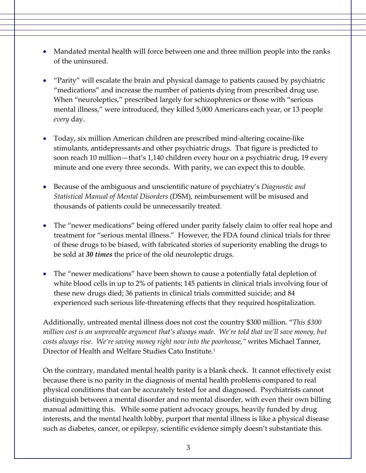- Mandated mental health will force between one and three million people into the ranks of the uninsured.
- "Parity" will escalate the brain and physical damage to patients caused by psychiatric "medications" and increase the number of patients dying from prescribed drug use. When "neuroleptics," prescribed largely for schizophrenics or those with "serious mental illness," were introduced, they killed 5,000 Americans each year, or 13 people *every* day.
- Today, six million American children are prescribed mind-altering cocaine-like stimulants, antidepressants and other psychiatric drugs. That figure is predicted to soon reach 10 million—that's 1,140 children every hour on a psychiatric drug, 19 every minute and one every three seconds. With parity, we can expect this to double.
- Because of the ambiguous and unscientific nature of psychiatry's *Diagnostic and Statistical Manual of Mental Disorders* (DSM), reimbursement will be misused and thousands of patients could be unnecessarily treated.
- The "newer medications" being offered under parity falsely claim to offer real hope and treatment for "serious mental illness." However, the FDA found clinical trials for three of these drugs to be biased, with fabricated stories of superiority enabling the drugs to be sold at *30 times* the price of the old neuroleptic drugs.
- The "newer medications" have been shown to cause a potentially fatal depletion of white blood cells in up to 2% of patients; 145 patients in clinical trials involving four of these new drugs died; 36 patients in clinical trials committed suicide; and 84 experienced such serious life-threatening effects that they required hospitalization.

Additionally, untreated mental illness does not cost the country \$300 million. "*This \$300 million cost is an unprovable argument that's always made. We're told that we'll save money, but costs always rise. We're saving money right now into the poorhouse,"* writes Michael Tanner, Director of Health and Welfare Studies Cato Institute*.* 1

On the contrary, mandated mental health parity is a blank check. It cannot effectively exist because there is no parity in the diagnosis of mental health problems compared to real physical conditions that can be accurately tested for and diagnosed. Psychiatrists cannot distinguish between a mental disorder and no mental disorder, with even their own billing manual admitting this. While some patient advocacy groups, heavily funded by drug interests, and the mental health lobby, purport that mental illness is like a physical disease such as diabetes, cancer, or epilepsy, scientific evidence simply doesn't substantiate this.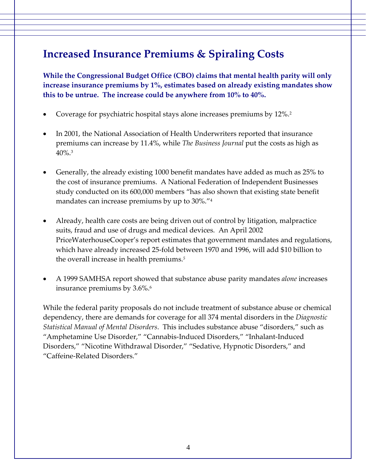## **Increased Insurance Premiums & Spiraling Costs**

**While the Congressional Budget Office (CBO) claims that mental health parity will only increase insurance premiums by 1%, estimates based on already existing mandates show this to be untrue. The increase could be anywhere from 10% to 40%.**

- Coverage for psychiatric hospital stays alone increases premiums by 12%.2
- In 2001, the National Association of Health Underwriters reported that insurance premiums can increase by 11.4%, while *The Business Journal* put the costs as high as  $40\%$ <sup>3</sup>
- Generally, the already existing 1000 benefit mandates have added as much as 25% to the cost of insurance premiums. A National Federation of Independent Businesses study conducted on its 600,000 members "has also shown that existing state benefit mandates can increase premiums by up to 30%."4
- Already, health care costs are being driven out of control by litigation, malpractice suits, fraud and use of drugs and medical devices. An April 2002 PriceWaterhouseCooper's report estimates that government mandates and regulations, which have already increased 25‐fold between 1970 and 1996, will add \$10 billion to the overall increase in health premiums.*<sup>5</sup>*
- A 1999 SAMHSA report showed that substance abuse parity mandates *alone* increases insurance premiums by 3.6%.<sup>6</sup>

While the federal parity proposals do not include treatment of substance abuse or chemical dependency, there are demands for coverage for all 374 mental disorders in the *Diagnostic Statistical Manual of Mental Disorders*. This includes substance abuse "disorders," such as "Amphetamine Use Disorder," "Cannabis‐Induced Disorders," "Inhalant‐Induced Disorders," "Nicotine Withdrawal Disorder," "Sedative, Hypnotic Disorders," and "Caffeine‐Related Disorders."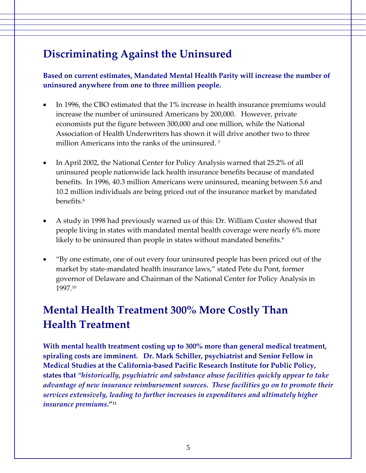## **Discriminating Against the Uninsured**

**Based on current estimates, Mandated Mental Health Parity will increase the number of uninsured anywhere from one to three million people.**

- In 1996, the CBO estimated that the 1% increase in health insurance premiums would increase the number of uninsured Americans by 200,000. However, private economists put the figure between 300,000 and one million, while the National Association of Health Underwriters has shown it will drive another two to three million Americans into the ranks of the uninsured.<sup>7</sup>
- In April 2002, the National Center for Policy Analysis warned that 25.2% of all uninsured people nationwide lack health insurance benefits because of mandated benefits. In 1996, 40.3 million Americans were uninsured, meaning between 5.6 and 10.2 million individuals are being priced out of the insurance market by mandated benefits.8
- A study in 1998 had previously warned us of this: Dr. William Custer showed that people living in states with mandated mental health coverage were nearly 6% more likely to be uninsured than people in states without mandated benefits.<sup>9</sup>
- "By one estimate, one of out every four uninsured people has been priced out of the market by state‐mandated health insurance laws," stated Pete du Pont, former governor of Delaware and Chairman of the National Center for Policy Analysis in 1997.10

## **Mental Health Treatment 300% More Costly Than Health Treatment**

**With mental health treatment costing up to 300% more than general medical treatment, spiraling costs are imminent. Dr. Mark Schiller, psychiatrist and Senior Fellow in Medical Studies at the California‐based Pacific Research Institute for Public Policy, states that** *"historically, psychiatric and substance abuse facilities quickly appear to take advantage of new insurance reimbursement sources. These facilities go on to promote their services extensively, leading to further increases in expenditures and ultimately higher insurance premiums***."11**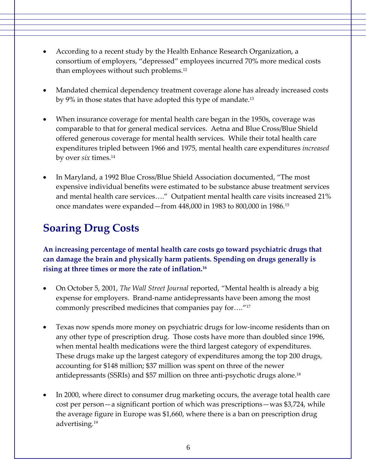- According to a recent study by the Health Enhance Research Organization, a consortium of employers, "depressed" employees incurred 70% more medical costs than employees without such problems.12
- Mandated chemical dependency treatment coverage alone has already increased costs by 9% in those states that have adopted this type of mandate.<sup>13</sup>
- When insurance coverage for mental health care began in the 1950s, coverage was comparable to that for general medical services. Aetna and Blue Cross/Blue Shield offered generous coverage for mental health services. While their total health care expenditures tripled between 1966 and 1975, mental health care expenditures *increased* by over *six* times.14
- In Maryland, a 1992 Blue Cross/Blue Shield Association documented, "The most expensive individual benefits were estimated to be substance abuse treatment services and mental health care services…." Outpatient mental health care visits increased 21% once mandates were expanded—from 448,000 in 1983 to 800,000 in 1986.15

## **Soaring Drug Costs**

**An increasing percentage of mental health care costs go toward psychiatric drugs that can damage the brain and physically harm patients. Spending on drugs generally is rising at three times or more the rate of inflation.16** 

- On October 5, 2001, *The Wall Street Journal* reported, "Mental health is already a big expense for employers. Brand‐name antidepressants have been among the most commonly prescribed medicines that companies pay for…."17
- Texas now spends more money on psychiatric drugs for low‐income residents than on any other type of prescription drug. Those costs have more than doubled since 1996, when mental health medications were the third largest category of expenditures. These drugs make up the largest category of expenditures among the top 200 drugs, accounting for \$148 million; \$37 million was spent on three of the newer antidepressants (SSRIs) and \$57 million on three anti‐psychotic drugs alone.18
- In 2000, where direct to consumer drug marketing occurs, the average total health care cost per person—a significant portion of which was prescriptions—was \$3,724, while the average figure in Europe was \$1,660, where there is a ban on prescription drug advertising.19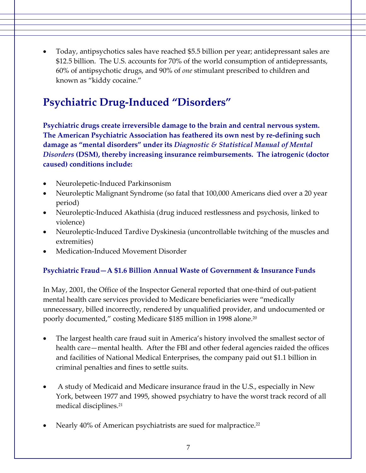• Today, antipsychotics sales have reached \$5.5 billion per year; antidepressant sales are \$12.5 billion. The U.S. accounts for 70% of the world consumption of antidepressants, 60% of antipsychotic drugs, and 90% of *one* stimulant prescribed to children and known as "kiddy cocaine."

## **Psychiatric Drug‐Induced "Disorders"**

**Psychiatric drugs create irreversible damage to the brain and central nervous system. The American Psychiatric Association has feathered its own nest by re‐defining such damage as "mental disorders" under its** *Diagnostic & Statistical Manual of Mental Disorders* **(DSM), thereby increasing insurance reimbursements. The iatrogenic (doctor caused) conditions include:**

- Neurolepetic‐Induced Parkinsonism
- Neuroleptic Malignant Syndrome (so fatal that 100,000 Americans died over a 20 year period)
- Neuroleptic-Induced Akathisia (drug induced restlessness and psychosis, linked to violence)
- Neuroleptic-Induced Tardive Dyskinesia (uncontrollable twitching of the muscles and extremities)
- Medication‐Induced Movement Disorder

#### **Psychiatric Fraud—A \$1.6 Billion Annual Waste of Government & Insurance Funds**

In May, 2001, the Office of the Inspector General reported that one‐third of out‐patient mental health care services provided to Medicare beneficiaries were "medically unnecessary, billed incorrectly, rendered by unqualified provider, and undocumented or poorly documented," costing Medicare \$185 million in 1998 alone.20

- The largest health care fraud suit in America's history involved the smallest sector of health care—mental health. After the FBI and other federal agencies raided the offices and facilities of National Medical Enterprises, the company paid out \$1.1 billion in criminal penalties and fines to settle suits.
- A study of Medicaid and Medicare insurance fraud in the U.S., especially in New York, between 1977 and 1995, showed psychiatry to have the worst track record of all medical disciplines.21
- Nearly 40% of American psychiatrists are sued for malpractice.<sup>22</sup>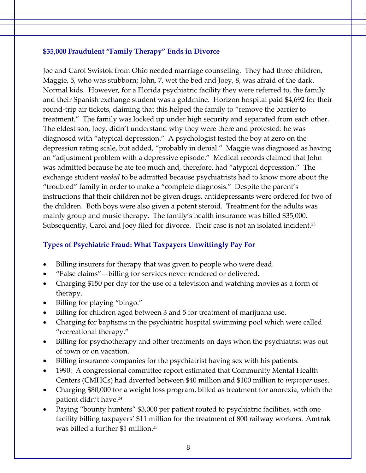#### **\$35,000 Fraudulent "Family Therapy" Ends in Divorce**

Joe and Carol Swistok from Ohio needed marriage counseling. They had three children, Maggie, 5, who was stubborn; John, 7, wet the bed and Joey, 8, was afraid of the dark. Normal kids. However, for a Florida psychiatric facility they were referred to, the family and their Spanish exchange student was a goldmine. Horizon hospital paid \$4,692 for their round‐trip air tickets, claiming that this helped the family to "remove the barrier to treatment." The family was locked up under high security and separated from each other. The eldest son, Joey, didn't understand why they were there and protested: he was diagnosed with "atypical depression." A psychologist tested the boy at zero on the depression rating scale, but added, "probably in denial." Maggie was diagnosed as having an "adjustment problem with a depressive episode." Medical records claimed that John was admitted because he ate too much and, therefore, had "atypical depression." The exchange student *needed* to be admitted because psychiatrists had to know more about the "troubled" family in order to make a "complete diagnosis." Despite the parent's instructions that their children not be given drugs, antidepressants were ordered for two of the children. Both boys were also given a potent steroid. Treatment for the adults was mainly group and music therapy. The family's health insurance was billed \$35,000. Subsequently, Carol and Joey filed for divorce. Their case is not an isolated incident.<sup>23</sup>

#### **Types of Psychiatric Fraud: What Taxpayers Unwittingly Pay For**

- Billing insurers for therapy that was given to people who were dead.
- "False claims"—billing for services never rendered or delivered.
- Charging \$150 per day for the use of a television and watching movies as a form of therapy.
- Billing for playing "bingo."
- Billing for children aged between 3 and 5 for treatment of marijuana use.
- Charging for baptisms in the psychiatric hospital swimming pool which were called "recreational therapy."
- Billing for psychotherapy and other treatments on days when the psychiatrist was out of town or on vacation.
- Billing insurance companies for the psychiatrist having sex with his patients.
- 1990: A congressional committee report estimated that Community Mental Health Centers (CMHCs) had diverted between \$40 million and \$100 million to *improper* uses.
- Charging \$80,000 for a weight loss program, billed as treatment for anorexia, which the patient didn't have.24
- Paying "bounty hunters" \$3,000 per patient routed to psychiatric facilities, with one facility billing taxpayers' \$11 million for the treatment of 800 railway workers. Amtrak was billed a further \$1 million.25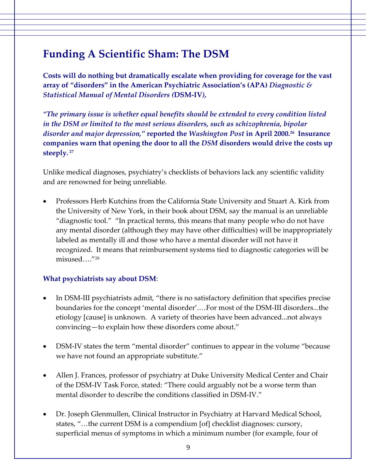## **Funding A Scientific Sham: The DSM**

**Costs will do nothing but dramatically escalate when providing for coverage for the vast array of "disorders" in the American Psychiatric Association's (APA)** *Diagnostic & Statistical Manual of Mental Disorders (***DSM‐IV***),*

*"The primary issue is whether equal benefits should be extended to every condition listed in the DSM or limited to the most serious disorders, such as schizophrenia, bipolar disorder and major depression,"* **reported the** *Washington Post* **in April 2000.26 Insurance companies warn that opening the door to all the** *DSM* **disorders would drive the costs up steeply. <sup>27</sup>**

Unlike medical diagnoses, psychiatry's checklists of behaviors lack any scientific validity and are renowned for being unreliable.

• Professors Herb Kutchins from the California State University and Stuart A. Kirk from the University of New York, in their book about DSM, say the manual is an unreliable "diagnostic tool." "In practical terms, this means that many people who do not have any mental disorder (although they may have other difficulties) will be inappropriately labeled as mentally ill and those who have a mental disorder will not have it recognized. It means that reimbursement systems tied to diagnostic categories will be misused…."28

#### **What psychiatrists say about DSM**:

- In DSM-III psychiatrists admit, "there is no satisfactory definition that specifies precise boundaries for the concept 'mental disorder'.…For most of the DSM‐III disorders...the etiology [cause] is unknown. A variety of theories have been advanced...not always convincing—to explain how these disorders come about."
- DSM‐IV states the term "mental disorder" continues to appear in the volume "because we have not found an appropriate substitute."
- Allen J. Frances, professor of psychiatry at Duke University Medical Center and Chair of the DSM‐IV Task Force, stated: "There could arguably not be a worse term than mental disorder to describe the conditions classified in DSM‐IV."
- Dr. Joseph Glenmullen, Clinical Instructor in Psychiatry at Harvard Medical School, states, "…the current DSM is a compendium [of] checklist diagnoses: cursory, superficial menus of symptoms in which a minimum number (for example, four of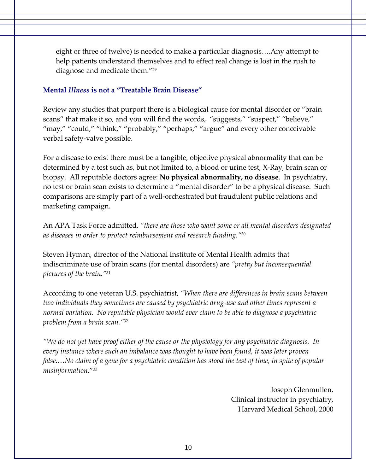eight or three of twelve) is needed to make a particular diagnosis….Any attempt to help patients understand themselves and to effect real change is lost in the rush to diagnose and medicate them."29

#### **Mental** *Illness* **is not a "Treatable Brain Disease"**

Review any studies that purport there is a biological cause for mental disorder or "brain scans" that make it so, and you will find the words, "suggests," "suspect," "believe," "may," "could," "think," "probably," "perhaps," "argue" and every other conceivable verbal safety‐valve possible.

For a disease to exist there must be a tangible, objective physical abnormality that can be determined by a test such as, but not limited to, a blood or urine test, X‐Ray, brain scan or biopsy. All reputable doctors agree: **No physical abnormality, no disease**. In psychiatry, no test or brain scan exists to determine a "mental disorder" to be a physical disease. Such comparisons are simply part of a well‐orchestrated but fraudulent public relations and marketing campaign.

An APA Task Force admitted, *"there are those who want some or all mental disorders designated as diseases in order to protect reimbursement and research funding."*<sup>30</sup>

Steven Hyman, director of the National Institute of Mental Health admits that indiscriminate use of brain scans (for mental disorders) are *"pretty but inconsequential pictures of the brain."*<sup>31</sup>

According to one veteran U.S. psychiatrist, *"When there are differences in brain scans between two individuals they sometimes are caused by psychiatric drug‐use and other times represent a normal variation. No reputable physician would ever claim to be able to diagnose a psychiatric problem from a brain scan."*<sup>32</sup>

"We do not yet have proof either of the cause or the physiology for any psychiatric diagnosis. In *every instance where such an imbalance was thought to have been found, it was later proven* false....No claim of a gene for a psychiatric condition has stood the test of time, in spite of popular *misinformation.*"33

> Joseph Glenmullen, Clinical instructor in psychiatry, Harvard Medical School, 2000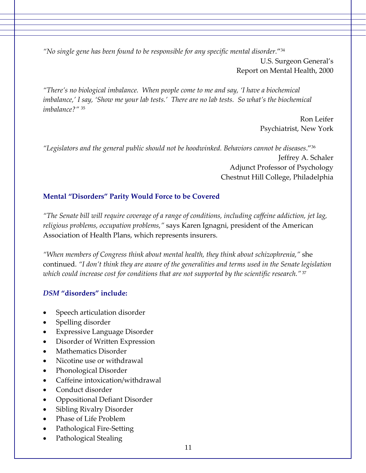*"No single gene has been found to be responsible for any specific mental disorder.*"34 U.S. Surgeon General's

*"There's no biological imbalance. When people come to me and say, 'I have a biochemical* imbalance,' I say, 'Show me your lab tests.' There are no lab tests. So what's the biochemical *imbalance?"* <sup>35</sup>

> Ron Leifer Psychiatrist, New York

Report on Mental Health, 2000

*"Legislators and the general public should not be hoodwinked. Behaviors cannot be diseases*."36 Jeffrey A. Schaler Adjunct Professor of Psychology Chestnut Hill College, Philadelphia

#### **Mental "Disorders" Parity Would Force to be Covered**

*"The Senate bill will require coverage of a range of conditions, including caffeine addiction, jet lag, religious problems, occupation problems,"* says Karen Ignagni, president of the American Association of Health Plans, which represents insurers.

*"When members of Congress think about mental health, they think about schizophrenia,"* she continued. *"I don't think they are aware of the generalities and terms used in the Senate legislation which could increase cost for conditions that are not supported by the scientific research."* <sup>37</sup>

#### *DSM* **"disorders" include:**

- Speech articulation disorder
- Spelling disorder
- **Expressive Language Disorder**
- Disorder of Written Expression
- Mathematics Disorder
- Nicotine use or withdrawal
- Phonological Disorder
- Caffeine intoxication/withdrawal
- Conduct disorder
- Oppositional Defiant Disorder
- Sibling Rivalry Disorder
- Phase of Life Problem
- Pathological Fire‐Setting
- Pathological Stealing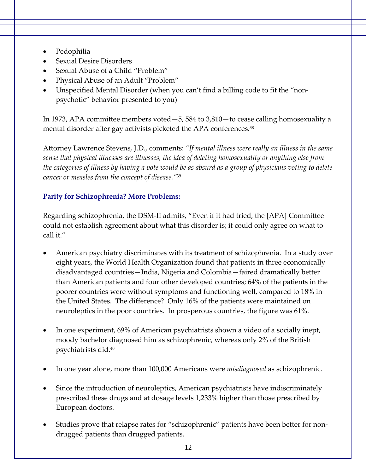- Pedophilia
- Sexual Desire Disorders
- Sexual Abuse of a Child "Problem"
- Physical Abuse of an Adult "Problem"
- Unspecified Mental Disorder (when you can't find a billing code to fit the "nonpsychotic" behavior presented to you)

In 1973, APA committee members voted—5, 584 to 3,810—to cease calling homosexuality a mental disorder after gay activists picketed the APA conferences.<sup>38</sup>

Attorney Lawrence Stevens, J.D., comments: *"If mental illness were really an illness in the same sense that physical illnesses are illnesses, the idea of deleting homosexuality or anything else from* the categories of illness by having a vote would be as absurd as a group of physicians voting to delete *cancer or measles from the concept of disease."*<sup>39</sup>

#### **Parity for Schizophrenia? More Problems:**

Regarding schizophrenia, the DSM‐II admits, "Even if it had tried, the [APA] Committee could not establish agreement about what this disorder is; it could only agree on what to call it."

- American psychiatry discriminates with its treatment of schizophrenia. In a study over eight years, the World Health Organization found that patients in three economically disadvantaged countries—India, Nigeria and Colombia—faired dramatically better than American patients and four other developed countries; 64% of the patients in the poorer countries were without symptoms and functioning well, compared to 18% in the United States. The difference? Only 16% of the patients were maintained on neuroleptics in the poor countries. In prosperous countries, the figure was 61%.
- In one experiment, 69% of American psychiatrists shown a video of a socially inept, moody bachelor diagnosed him as schizophrenic, whereas only 2% of the British psychiatrists did.40
- In one year alone, more than 100,000 Americans were *misdiagnosed* as schizophrenic.
- Since the introduction of neuroleptics, American psychiatrists have indiscriminately prescribed these drugs and at dosage levels 1,233% higher than those prescribed by European doctors.
- Studies prove that relapse rates for "schizophrenic" patients have been better for nondrugged patients than drugged patients.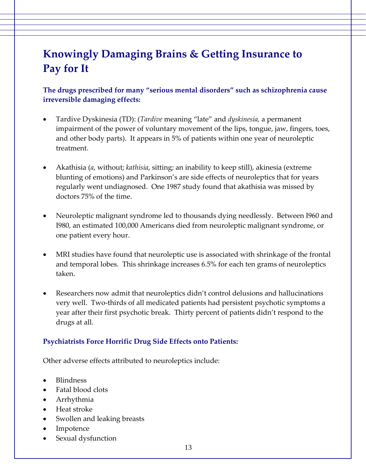## **Knowingly Damaging Brains & Getting Insurance to Pay for It**

**The drugs prescribed for many "serious mental disorders" such as schizophrenia cause irreversible damaging effects:** 

- Tardive Dyskinesia (TD): (*Tardive* meaning "late" and *dyskinesia,* a permanent impairment of the power of voluntary movement of the lips, tongue, jaw, fingers, toes, and other body parts). It appears in 5% of patients within one year of neuroleptic treatment.
- Akathisia (*a*, without; *kathisia*, sitting; an inability to keep still), akinesia (extreme blunting of emotions) and Parkinson's are side effects of neuroleptics that for years regularly went undiagnosed. One 1987 study found that akathisia was missed by doctors 75% of the time.
- Neuroleptic malignant syndrome led to thousands dying needlessly. Between I960 and I980, an estimated 100,000 Americans died from neuroleptic malignant syndrome, or one patient every hour.
- MRI studies have found that neuroleptic use is associated with shrinkage of the frontal and temporal lobes. This shrinkage increases 6.5% for each ten grams of neuroleptics taken.
- Researchers now admit that neuroleptics didn't control delusions and hallucinations very well. Two‐thirds of all medicated patients had persistent psychotic symptoms a year after their first psychotic break. Thirty percent of patients didn't respond to the drugs at all.

#### **Psychiatrists Force Horrific Drug Side Effects onto Patients:**

Other adverse effects attributed to neuroleptics include:

- Blindness
- Fatal blood clots
- Arrhythmia
- Heat stroke
- Swollen and leaking breasts
- Impotence
- Sexual dysfunction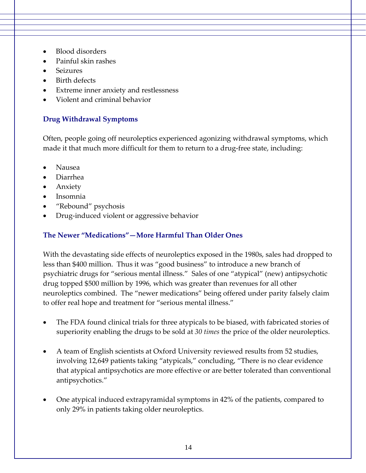- Blood disorders
- Painful skin rashes
- **Seizures**
- Birth defects
- Extreme inner anxiety and restlessness
- Violent and criminal behavior

#### **Drug Withdrawal Symptoms**

Often, people going off neuroleptics experienced agonizing withdrawal symptoms, which made it that much more difficult for them to return to a drug-free state, including:

- Nausea
- Diarrhea
- Anxiety
- Insomnia
- "Rebound" psychosis
- Drug‐induced violent or aggressive behavior

#### **The Newer "Medications"—More Harmful Than Older Ones**

With the devastating side effects of neuroleptics exposed in the 1980s, sales had dropped to less than \$400 million. Thus it was "good business" to introduce a new branch of psychiatric drugs for "serious mental illness." Sales of one "atypical" (new) antipsychotic drug topped \$500 million by 1996, which was greater than revenues for all other neuroleptics combined. The "newer medications" being offered under parity falsely claim to offer real hope and treatment for "serious mental illness."

- The FDA found clinical trials for three atypicals to be biased, with fabricated stories of superiority enabling the drugs to be sold at *30 times* the price of the older neuroleptics.
- A team of English scientists at Oxford University reviewed results from 52 studies, involving 12,649 patients taking "atypicals," concluding, "There is no clear evidence that atypical antipsychotics are more effective or are better tolerated than conventional antipsychotics."
- One atypical induced extrapyramidal symptoms in 42% of the patients, compared to only 29% in patients taking older neuroleptics.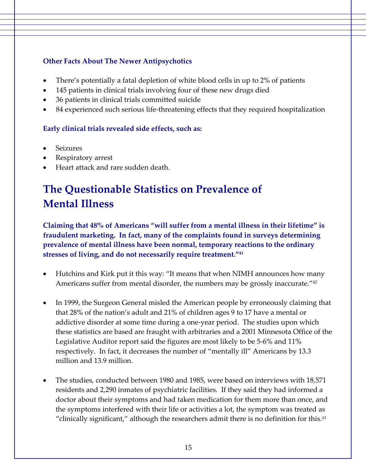#### **Other Facts About The Newer Antipsychotics**

- There's potentially a fatal depletion of white blood cells in up to 2% of patients
- 145 patients in clinical trials involving four of these new drugs died
- 36 patients in clinical trials committed suicide
- 84 experienced such serious life-threatening effects that they required hospitalization

#### **Early clinical trials revealed side effects, such as:**

- **Seizures**
- Respiratory arrest
- Heart attack and rare sudden death.

## **The Questionable Statistics on Prevalence of Mental Illness**

**Claiming that 48% of Americans "will suffer from a mental illness in their lifetime" is fraudulent marketing. In fact, many of the complaints found in surveys determining prevalence of mental illness have been normal, temporary reactions to the ordinary stresses of living, and do not necessarily require treatment."41**

- Hutchins and Kirk put it this way: "It means that when NIMH announces how many Americans suffer from mental disorder, the numbers may be grossly inaccurate."<sup>42</sup>
- In 1999, the Surgeon General misled the American people by erroneously claiming that that 28% of the nation's adult and 21% of children ages 9 to 17 have a mental or addictive disorder at some time during a one‐year period. The studies upon which these statistics are based are fraught with arbitraries and a 2001 Minnesota Office of the Legislative Auditor report said the figures are most likely to be 5‐6% and 11% respectively. In fact, it decreases the number of "mentally ill" Americans by 13.3 million and 13.9 million.
- The studies, conducted between 1980 and 1985, were based on interviews with 18,571 residents and 2,290 inmates of psychiatric facilities. If they said they had informed a doctor about their symptoms and had taken medication for them more than once, and the symptoms interfered with their life or activities a lot, the symptom was treated as "clinically significant," although the researchers admit there is no definition for this.*<sup>43</sup>*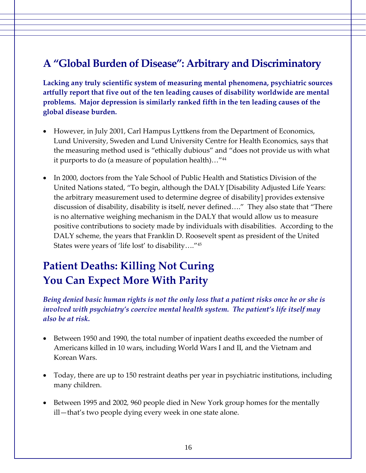## **A "Global Burden of Disease": Arbitrary and Discriminatory**

**Lacking any truly scientific system of measuring mental phenomena, psychiatric sources artfully report that five out of the ten leading causes of disability worldwide are mental problems. Major depression is similarly ranked fifth in the ten leading causes of the global disease burden.**

- However, in July 2001, Carl Hampus Lyttkens from the Department of Economics, Lund University, Sweden and Lund University Centre for Health Economics, says that the measuring method used is "ethically dubious" and "does not provide us with what it purports to do (a measure of population health)…"44
- In 2000, doctors from the Yale School of Public Health and Statistics Division of the United Nations stated, "To begin, although the DALY [Disability Adjusted Life Years: the arbitrary measurement used to determine degree of disability] provides extensive discussion of disability, disability is itself, never defined…." They also state that "There is no alternative weighing mechanism in the DALY that would allow us to measure positive contributions to society made by individuals with disabilities. According to the DALY scheme, the years that Franklin D. Roosevelt spent as president of the United States were years of 'life lost' to disability…."45

## **Patient Deaths: Killing Not Curing You Can Expect More With Parity**

*Being denied basic human rights is not the only loss that a patient risks once he or she is involved with psychiatry's coercive mental health system. The patient's life itself may also be at risk.*

- Between 1950 and 1990, the total number of inpatient deaths exceeded the number of Americans killed in 10 wars, including World Wars I and II, and the Vietnam and Korean Wars.
- Today, there are up to 150 restraint deaths per year in psychiatric institutions, including many children.
- Between 1995 and 2002*,* 960 people died in New York group homes for the mentally ill—that's two people dying every week in one state alone.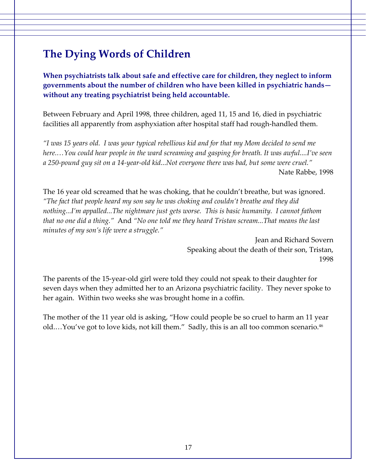## **The Dying Words of Children**

**When psychiatrists talk about safe and effective care for children, they neglect to inform governments about the number of children who have been killed in psychiatric hands without any treating psychiatrist being held accountable.**

Between February and April 1998, three children, aged 11, 15 and 16, died in psychiatric facilities all apparently from asphyxiation after hospital staff had rough‐handled them.

"I was 15 years old. I was your typical rebellious kid and for that my Mom decided to send me *here.…You could hear people in the ward screaming and gasping for breath. It was awful....I've seen* a 250-pound guy sit on a 14-year-old kid...Not everyone there was bad, but some were cruel." Nate Rabbe, 1998

The 16 year old screamed that he was choking, that he couldn't breathe, but was ignored. *"The fact that people heard my son say he was choking and couldn't breathe and they did nothing...I'm appalled...The nightmare just gets worse. This is basic humanity. I cannot fathom that no one did a thing."* And *"No one told me they heard Tristan scream...That means the last minutes of my son's life were a struggle."*

> Jean and Richard Sovern Speaking about the death of their son, Tristan, 1998

The parents of the 15‐year‐old girl were told they could not speak to their daughter for seven days when they admitted her to an Arizona psychiatric facility. They never spoke to her again. Within two weeks she was brought home in a coffin.

The mother of the 11 year old is asking, "How could people be so cruel to harm an 11 year old....You've got to love kids, not kill them." Sadly, this is an all too common scenario.<sup>46</sup>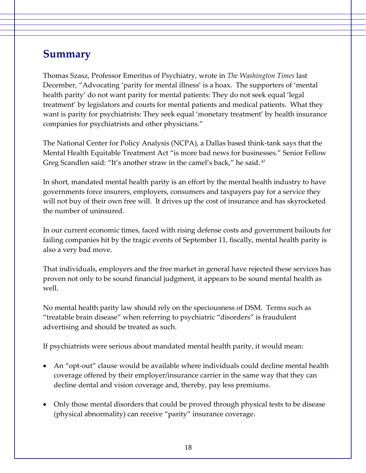### **Summary**

Thomas Szasz, Professor Emeritus of Psychiatry, wrote in *The Washington Times* last December, "Advocating 'parity for mental illness' is a hoax. The supporters of 'mental health parity' do not want parity for mental patients: They do not seek equal 'legal treatment' by legislators and courts for mental patients and medical patients. What they want is parity for psychiatrists: They seek equal 'monetary treatment' by health insurance companies for psychiatrists and other physicians."

The National Center for Policy Analysis (NCPA), a Dallas based think‐tank says that the Mental Health Equitable Treatment Act "is more bad news for businesses." Senior Fellow Greg Scandlen said: "It's another straw in the camel's back," he said. 47

In short, mandated mental health parity is an effort by the mental health industry to have governments force insurers, employers, consumers and taxpayers pay for a service they will not buy of their own free will. It drives up the cost of insurance and has skyrocketed the number of uninsured.

In our current economic times, faced with rising defense costs and government bailouts for failing companies hit by the tragic events of September 11, fiscally, mental health parity is also a very bad move.

That individuals, employers and the free market in general have rejected these services has proven not only to be sound financial judgment, it appears to be sound mental health as well.

No mental health parity law should rely on the speciousness of DSM. Terms such as "treatable brain disease" when referring to psychiatric "disorders" is fraudulent advertising and should be treated as such.

If psychiatrists were serious about mandated mental health parity, it would mean:

- An "opt-out" clause would be available where individuals could decline mental health coverage offered by their employer/insurance carrier in the same way that they can decline dental and vision coverage and, thereby, pay less premiums.
- Only those mental disorders that could be proved through physical tests to be disease (physical abnormality) can receive "parity" insurance coverage.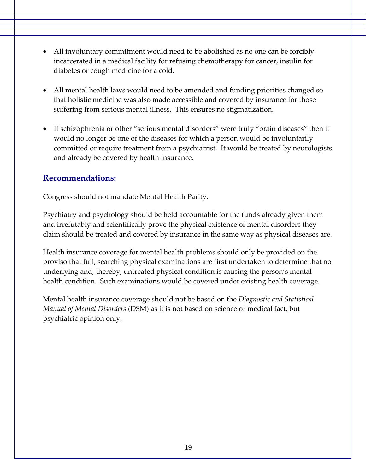- All involuntary commitment would need to be abolished as no one can be forcibly incarcerated in a medical facility for refusing chemotherapy for cancer, insulin for diabetes or cough medicine for a cold.
- All mental health laws would need to be amended and funding priorities changed so that holistic medicine was also made accessible and covered by insurance for those suffering from serious mental illness. This ensures no stigmatization.
- If schizophrenia or other "serious mental disorders" were truly "brain diseases" then it would no longer be one of the diseases for which a person would be involuntarily committed or require treatment from a psychiatrist. It would be treated by neurologists and already be covered by health insurance.

#### **Recommendations:**

Congress should not mandate Mental Health Parity.

Psychiatry and psychology should be held accountable for the funds already given them and irrefutably and scientifically prove the physical existence of mental disorders they claim should be treated and covered by insurance in the same way as physical diseases are.

Health insurance coverage for mental health problems should only be provided on the proviso that full, searching physical examinations are first undertaken to determine that no underlying and, thereby, untreated physical condition is causing the person's mental health condition. Such examinations would be covered under existing health coverage.

Mental health insurance coverage should not be based on the *Diagnostic and Statistical Manual of Mental Disorders* (DSM) as it is not based on science or medical fact, but psychiatric opinion only.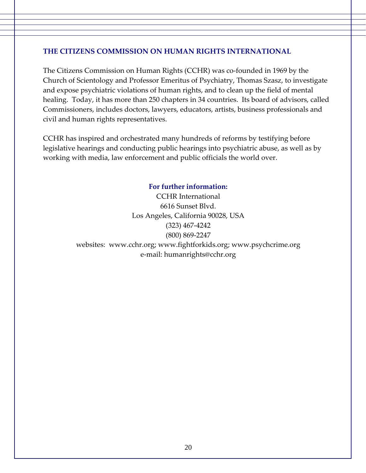#### **THE CITIZENS COMMISSION ON HUMAN RIGHTS INTERNATIONAL**

The Citizens Commission on Human Rights (CCHR) was co-founded in 1969 by the Church of Scientology and Professor Emeritus of Psychiatry, Thomas Szasz, to investigate and expose psychiatric violations of human rights, and to clean up the field of mental healing. Today, it has more than 250 chapters in 34 countries. Its board of advisors, called Commissioners, includes doctors, lawyers, educators, artists, business professionals and civil and human rights representatives.

CCHR has inspired and orchestrated many hundreds of reforms by testifying before legislative hearings and conducting public hearings into psychiatric abuse, as well as by working with media, law enforcement and public officials the world over.

#### **For further information:**

CCHR International 6616 Sunset Blvd. Los Angeles, California 90028, USA (323) 467‐4242 (800) 869‐2247 websites: www.cchr.org; www.fightforkids.org; www.psychcrime.org e‐mail: humanrights@cchr.org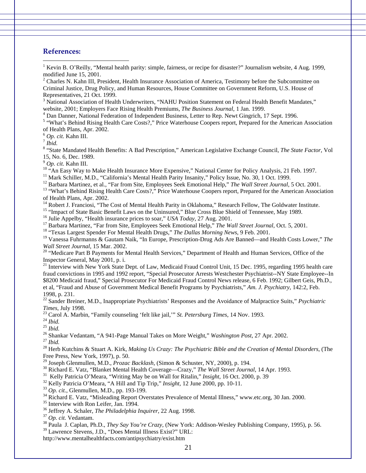#### **References:**

 $\overline{a}$ 

<sup>1</sup> Kevin B. O'Reilly, "Mental health parity: simple, fairness, or recipe for disaster?" Journalism website, 4 Aug. 1999, modified June 15, 2001.

 $2^2$  Charles N. Kahn III, President, Health Insurance Association of America, Testimony before the Subcommittee on Criminal Justice, Drug Policy, and Human Resources, House Committee on Government Reform, U.S. House of Representatives, 21 Oct. 1999.

<sup>3</sup> National Association of Health Underwriters, "NAHU Position Statement on Federal Health Benefit Mandates," website, 2001; Employers Face Rising Health Premiums, *The Business Journal*, 1 Jan. 1999. 4

<sup>4</sup> Dan Danner, National Federation of Independent Business, Letter to Rep. Newt Gingrich, 17 Sept. 1996.

<sup>5</sup> "What's Behind Rising Health Care Costs?," Price Waterhouse Coopers report, Prepared for the American Association of Health Plans, Apr. 2002.

<sup>6</sup> *Op. cit*. Kahn III. 7 *Ibid.*<sup>8</sup>

 "State Mandated Health Benefits: A Bad Prescription," American Legislative Exchange Council, *The State Factor*, Vol 15, No. 6, Dec. 1989.<br><sup>9</sup> Op. cit. Kahn III.

<sup>10</sup> "An Easy Way to Make Health Insurance More Expensive," National Center for Policy Analysis, 21 Feb. 1997.<br><sup>11</sup> Mark Schiller, M.D., "California's Mental Health Parity Insanity," Policy Issue, No. 30, 1 Oct. 1999.<br><sup>12</sup>

of Health Plans, Apr. 2002.

<sup>14</sup> Robert J. Franciosi, "The Cost of Mental Health Parity in Oklahoma," Research Fellow, The Goldwater Institute.

<sup>15</sup> "Impact of State Basic Benefit Laws on the Uninsured," Blue Cross Blue Shield of Tennessee, May 1989.<br><sup>16</sup> Julie Appelby, "Health insurance prices to soar," *USA Today*, 27 Aug. 2001.

<sup>17</sup> Barbara Martinez, "Far from Site, Employees Seek Emotional Help," *The Wall Street Journal*, Oct. 5, 2001.<br><sup>18</sup> "Texas Largest Spender For Mental Health Drugs," *The Dallas Morning News*, 9 Feb. 2001.

19 Vanessa Fuhrmanns & Gautam Naik, "In Europe, Prescription-Drug Ads Are Banned—and Health Costs Lower," *The* 

<sup>20</sup> "Medicare Part B Payments for Mental Health Services," Department of Health and Human Services, Office of the Inspector General, May 2001, p. i.

<sup>21</sup> Interview with New York State Dept. of Law, Medicaid Fraud Control Unit, 15 Dec. 1995, regarding 1995 health care fraud convictions in 1995 and 1992 report, "Special Prosecutor Arrests Westchester Psychiatrist--NY State Employee--In \$8200 Medicaid fraud," Special Prosecutor For Medicaid Fraud Control News release, 6 Feb. 1992; Gilbert Geis, Ph.D., et al, "Fraud and Abuse of Government Medical Benefit Programs by Psychiatrists," *Am. J. Psychiatry*, 142:2, Feb. 1998, p. 231.

22 Sander Breiner, M.D., Inappropriate Psychiatrists' Responses and the Avoidance of Malpractice Suits," *Psychiatric*  Times, July 1998.<br><sup>23</sup> Carol A. Marbin, "Family counseling 'felt like jail," *St. Petersburg Times*, 14 Nov. 1993.<br><sup>24</sup> *Ibid.*<br><sup>25</sup> Shankar Vedantam, "A 941-Page Manual Takes on More Weight," *Washington Post*, 27 Apr. 20

Free Press, New York, 1997), p. 50.<br><sup>29</sup> Joseph Glenmullen, M.D., *Prozac Backlash*, (Simon & Schuster, NY, 2000), p. 194.

<sup>30</sup> Richard E. Vatz, "Blanket Mental Health Coverage—Crazy," The Wall Street Journal, 14 Apr. 1993.<br><sup>31</sup> Kelly Patricia O'Meara, "Writing May be on Wall for Ritalin," *Insight*, 16 Oct. 2000, p. 39<br><sup>32</sup> Kelly Patricia O'

<sup>37</sup> Op. cit. Vedantam.<br><sup>38</sup> Paula J. Caplan, Ph.D., *They Say You're Crazy*, (New York: Addison-Wesley Publishing Company, 1995), p. 56.

39 Lawrence Stevens, J.D., "Does Mental Illness Exist?" URL:

http://www.mentalhealthfacts.com/antipsychiatry/exist.htm